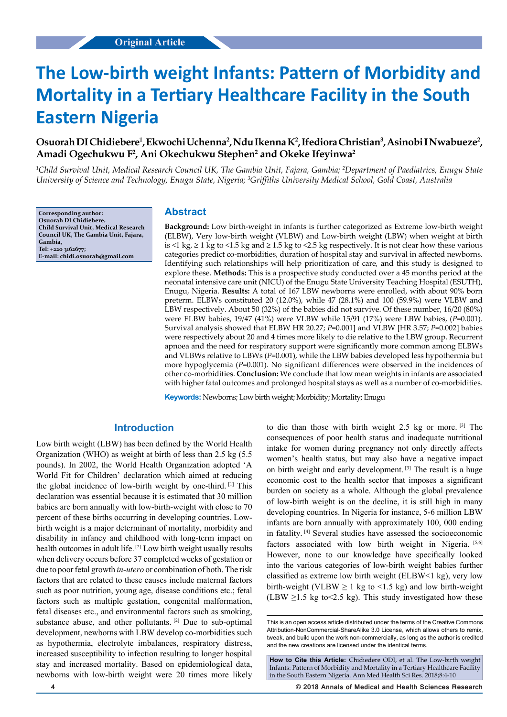# **The Low-birth weight Infants: Pattern of Morbidity and Mortality in a Tertiary Healthcare Facility in the South Eastern Nigeria**

# **Osuorah DI Chidiebere1 , Ekwochi Uchenna2 , Ndu Ikenna K2 , Ifediora Christian3 , Asinobi I Nwabueze2 , Amadi Ogechukwu F2 , Ani Okechukwu Stephen2 and Okeke Ifeyinwa2**

<sup>1</sup>Child Survival Unit, Medical Research Council UK, The Gambia Unit, Fajara, Gambia; <sup>2</sup>Department of Paediatrics, Enugu State University of Science and Technology, Enugu State, Nigeria; <sup>3</sup>Griffiths University Medical School, Gold Coast, Australia

**Corresponding author: Osuorah DI Chidiebere, Child Survival Unit, Medical Research Council UK, The Gambia Unit, Fajara, Gambia, Tel: +220 3162677; E-mail: chidi.osuorah@gmail.com**

#### **Abstract**

**Background:** Low birth-weight in infants is further categorized as Extreme low-birth weight (ELBW), Very low-birth weight (VLBW) and Low-birth weight (LBW) when weight at birth is <1 kg, ≥ 1 kg to <1.5 kg and ≥ 1.5 kg to <2.5 kg respectively. It is not clear how these various categories predict co-morbidities, duration of hospital stay and survival in affected newborns. Identifying such relationships will help prioritization of care, and this study is designed to explore these. **Methods:** This is a prospective study conducted over a 45 months period at the neonatal intensive care unit (NICU) of the Enugu State University Teaching Hospital (ESUTH), Enugu, Nigeria. **Results:** A total of 167 LBW newborns were enrolled, with about 90% born preterm. ELBWs constituted 20 (12.0%), while 47 (28.1%) and 100 (59.9%) were VLBW and LBW respectively. About 50 (32%) of the babies did not survive. Of these number, 16/20 (80%) were ELBW babies, 19/47 (41%) were VLBW while 15/91 (17%) were LBW babies, (*P*=0.001). Survival analysis showed that ELBW HR 20.27; *P*=0.001] and VLBW [HR 3.57; *P*=0.002] babies were respectively about 20 and 4 times more likely to die relative to the LBW group. Recurrent apnoea and the need for respiratory support were significantly more common among ELBWs and VLBWs relative to LBWs (*P*=0.001), while the LBW babies developed less hypothermia but more hypoglycemia (*P*=0.001). No significant differences were observed in the incidences of other co-morbidities. **Conclusion:** We conclude that low mean weights in infants are associated with higher fatal outcomes and prolonged hospital stays as well as a number of co-morbidities.

**Keywords:** Newborns; Low birth weight; Morbidity; Mortality; Enugu

## **Introduction**

Low birth weight (LBW) has been defined by the World Health Organization (WHO) as weight at birth of less than 2.5 kg (5.5 pounds). In 2002, the World Health Organization adopted 'A World Fit for Children' declaration which aimed at reducing the global incidence of low-birth weight by one-third. [1] This declaration was essential because it is estimated that 30 million babies are born annually with low-birth-weight with close to 70 percent of these births occurring in developing countries. Lowbirth weight is a major determinant of mortality, morbidity and disability in infancy and childhood with long-term impact on health outcomes in adult life. [2] Low birth weight usually results when delivery occurs before 37 completed weeks of gestation or due to poor fetal growth *in-utero* or combination of both. The risk factors that are related to these causes include maternal factors such as poor nutrition, young age, disease conditions etc.; fetal factors such as multiple gestation, congenital malformation, fetal diseases etc., and environmental factors such as smoking, substance abuse, and other pollutants. [2] Due to sub-optimal development, newborns with LBW develop co-morbidities such as hypothermia, electrolyte imbalances, respiratory distress, increased susceptibility to infection resulting to longer hospital stay and increased mortality. Based on epidemiological data, newborns with low-birth weight were 20 times more likely to die than those with birth weight 2.5 kg or more. [3] The consequences of poor health status and inadequate nutritional intake for women during pregnancy not only directly affects women's health status, but may also have a negative impact on birth weight and early development. [3] The result is a huge economic cost to the health sector that imposes a significant burden on society as a whole. Although the global prevalence of low-birth weight is on the decline, it is still high in many developing countries. In Nigeria for instance, 5-6 million LBW infants are born annually with approximately 100, 000 ending in fatality. [4] Several studies have assessed the socioeconomic factors associated with low birth weight in Nigeria. [5,6] However, none to our knowledge have specifically looked into the various categories of low-birth weight babies further classified as extreme low birth weight (ELBW<1 kg), very low birth-weight (VLBW  $\geq 1$  kg to <1.5 kg) and low birth-weight (LBW  $\geq$ 1.5 kg to < 2.5 kg). This study investigated how these

**How to Cite this Article:** Chidiedere ODI, et al. The Low-birth weight Infants: Pattern of Morbidity and Mortality in a Tertiary Healthcare Facility in the South Eastern Nigeria. Ann Med Health Sci Res. 2018;8:4-10

**4 © 2018 Annals of Medical and Health Sciences Research** 

This is an open access article distributed under the terms of the Creative Commons Attribution-NonCommercial-ShareAlike 3.0 License, which allows others to remix, tweak, and build upon the work non‑commercially, as long as the author is credited and the new creations are licensed under the identical terms.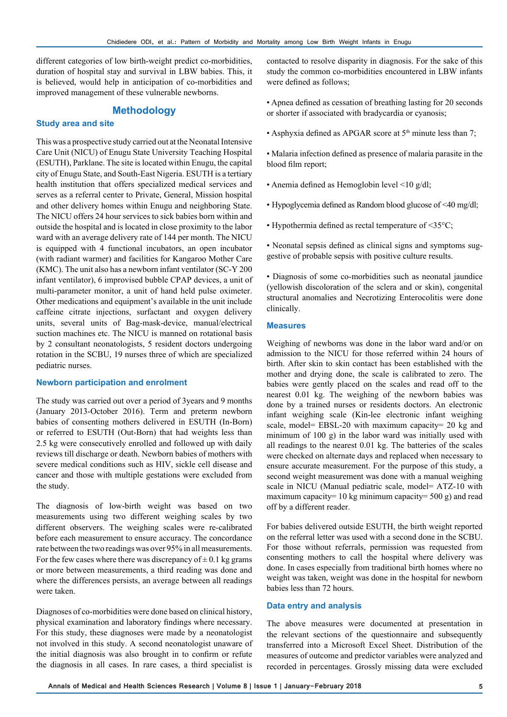different categories of low birth-weight predict co-morbidities, duration of hospital stay and survival in LBW babies. This, it is believed, would help in anticipation of co-morbidities and improved management of these vulnerable newborns.

## **Methodology**

#### **Study area and site**

This was a prospective study carried out at the Neonatal Intensive Care Unit (NICU) of Enugu State University Teaching Hospital (ESUTH), Parklane. The site is located within Enugu, the capital city of Enugu State, and South-East Nigeria. ESUTH is a tertiary health institution that offers specialized medical services and serves as a referral center to Private, General, Mission hospital and other delivery homes within Enugu and neighboring State. The NICU offers 24 hour services to sick babies born within and outside the hospital and is located in close proximity to the labor ward with an average delivery rate of 144 per month. The NICU is equipped with 4 functional incubators, an open incubator (with radiant warmer) and facilities for Kangaroo Mother Care (KMC). The unit also has a newborn infant ventilator (SC-Y 200 infant ventilator), 6 improvised bubble CPAP devices, a unit of multi-parameter monitor, a unit of hand held pulse oximeter. Other medications and equipment's available in the unit include caffeine citrate injections, surfactant and oxygen delivery units, several units of Bag-mask-device, manual/electrical suction machines etc. The NICU is manned on rotational basis by 2 consultant neonatologists, 5 resident doctors undergoing rotation in the SCBU, 19 nurses three of which are specialized pediatric nurses.

#### **Newborn participation and enrolment**

The study was carried out over a period of 3years and 9 months (January 2013-October 2016). Term and preterm newborn babies of consenting mothers delivered in ESUTH (In-Born) or referred to ESUTH (Out-Born) that had weights less than 2.5 kg were consecutively enrolled and followed up with daily reviews till discharge or death. Newborn babies of mothers with severe medical conditions such as HIV, sickle cell disease and cancer and those with multiple gestations were excluded from the study.

The diagnosis of low-birth weight was based on two measurements using two different weighing scales by two different observers. The weighing scales were re-calibrated before each measurement to ensure accuracy. The concordance rate between the two readings was over 95% in all measurements. For the few cases where there was discrepancy of  $\pm$  0.1 kg grams or more between measurements, a third reading was done and where the differences persists, an average between all readings were taken.

Diagnoses of co-morbidities were done based on clinical history, physical examination and laboratory findings where necessary. For this study, these diagnoses were made by a neonatologist not involved in this study. A second neonatologist unaware of the initial diagnosis was also brought in to confirm or refute the diagnosis in all cases. In rare cases, a third specialist is

contacted to resolve disparity in diagnosis. For the sake of this study the common co-morbidities encountered in LBW infants were defined as follows;

- Apnea defined as cessation of breathing lasting for 20 seconds or shorter if associated with bradycardia or cyanosis;
- Asphyxia defined as APGAR score at  $5<sup>th</sup>$  minute less than 7;
- Malaria infection defined as presence of malaria parasite in the blood film report;
- Anemia defined as Hemoglobin level <10 g/dl;
- Hypoglycemia defined as Random blood glucose of <40 mg/dl;
- Hypothermia defined as rectal temperature of <35°C;

• Neonatal sepsis defined as clinical signs and symptoms suggestive of probable sepsis with positive culture results.

• Diagnosis of some co-morbidities such as neonatal jaundice (yellowish discoloration of the sclera and or skin), congenital structural anomalies and Necrotizing Enterocolitis were done clinically.

#### **Measures**

Weighing of newborns was done in the labor ward and/or on admission to the NICU for those referred within 24 hours of birth. After skin to skin contact has been established with the mother and drying done, the scale is calibrated to zero. The babies were gently placed on the scales and read off to the nearest 0.01 kg. The weighing of the newborn babies was done by a trained nurses or residents doctors. An electronic infant weighing scale (Kin-lee electronic infant weighing scale, model= EBSL-20 with maximum capacity= 20 kg and minimum of 100 g) in the labor ward was initially used with all readings to the nearest 0.01 kg. The batteries of the scales were checked on alternate days and replaced when necessary to ensure accurate measurement. For the purpose of this study, a second weight measurement was done with a manual weighing scale in NICU (Manual pediatric scale, model= ATZ-10 with maximum capacity= 10 kg minimum capacity= 500 g) and read off by a different reader.

For babies delivered outside ESUTH, the birth weight reported on the referral letter was used with a second done in the SCBU. For those without referrals, permission was requested from consenting mothers to call the hospital where delivery was done. In cases especially from traditional birth homes where no weight was taken, weight was done in the hospital for newborn babies less than 72 hours.

#### **Data entry and analysis**

The above measures were documented at presentation in the relevant sections of the questionnaire and subsequently transferred into a Microsoft Excel Sheet. Distribution of the measures of outcome and predictor variables were analyzed and recorded in percentages. Grossly missing data were excluded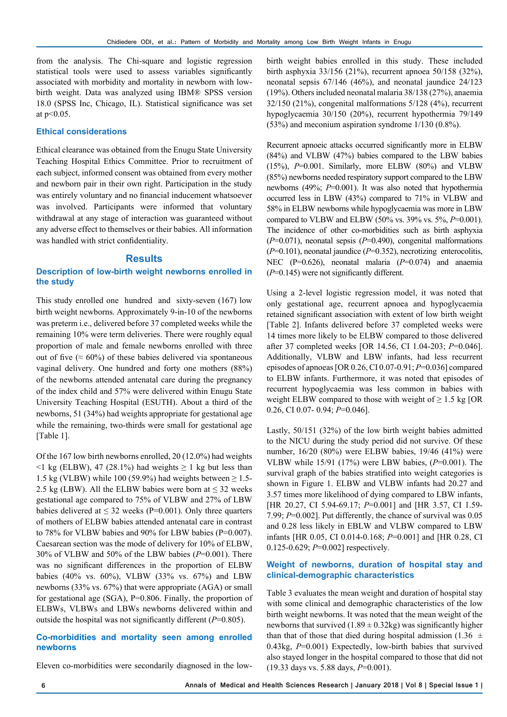from the analysis. The Chi-square and logistic regression statistical tools were used to assess variables significantly associated with morbidity and mortality in newborn with lowbirth weight. Data was analyzed using IBM® SPSS version 18.0 (SPSS Inc, Chicago, IL). Statistical significance was set at  $p<0.05$ .

#### **Ethical considerations**

Ethical clearance was obtained from the Enugu State University Teaching Hospital Ethics Committee. Prior to recruitment of each subject, informed consent was obtained from every mother and newborn pair in their own right. Participation in the study was entirely voluntary and no financial inducement whatsoever was involved. Participants were informed that voluntary withdrawal at any stage of interaction was guaranteed without any adverse effect to themselves or their babies. All information was handled with strict confidentiality.

## **Results**

## **Description of low-birth weight newborns enrolled in the study**

This study enrolled one hundred and sixty-seven (167) low birth weight newborns. Approximately 9-in-10 of the newborns was preterm i.e., delivered before 37 completed weeks while the remaining 10% were term deliveries. There were roughly equal proportion of male and female newborns enrolled with three out of five ( $\approx 60\%$ ) of these babies delivered via spontaneous vaginal delivery. One hundred and forty one mothers (88%) of the newborns attended antenatal care during the pregnancy of the index child and 57% were delivered within Enugu State University Teaching Hospital (ESUTH). About a third of the newborns, 51 (34%) had weights appropriate for gestational age while the remaining, two-thirds were small for gestational age [Table 1].

Of the 167 low birth newborns enrolled, 20 (12.0%) had weights  $\leq$ 1 kg (ELBW), 47 (28.1%) had weights  $\geq$  1 kg but less than 1.5 kg (VLBW) while 100 (59.9%) had weights between  $\geq$  1.5-2.5 kg (LBW). All the ELBW babies were born at  $\leq$  32 weeks gestational age compared to 75% of VLBW and 27% of LBW babies delivered at  $\leq 32$  weeks (P=0.001). Only three quarters of mothers of ELBW babies attended antenatal care in contrast to 78% for VLBW babies and 90% for LBW babies (P=0.007). Caesarean section was the mode of delivery for 10% of ELBW, 30% of VLBW and 50% of the LBW babies (*P*=0.001). There was no significant differences in the proportion of ELBW babies (40% vs. 60%), VLBW (33% vs. 67%) and LBW newborns (33% vs. 67%) that were appropriate (AGA) or small for gestational age (SGA), P=0.806. Finally, the proportion of ELBWs, VLBWs and LBWs newborns delivered within and outside the hospital was not significantly different (*P*=0.805).

#### **Co-morbidities and mortality seen among enrolled newborns**

Eleven co-morbidities were secondarily diagnosed in the low-

birth weight babies enrolled in this study. These included birth asphyxia 33/156 (21%), recurrent apnoea 50/158 (32%), neonatal sepsis 67/146 (46%), and neonatal jaundice 24/123 (19%). Others included neonatal malaria 38/138 (27%), anaemia 32/150 (21%), congenital malformations 5/128 (4%), recurrent hypoglycaemia 30/150 (20%), recurrent hypothermia 79/149 (53%) and meconium aspiration syndrome 1/130 (0.8%).

Recurrent apnoeic attacks occurred significantly more in ELBW (84%) and VLBW (47%) babies compared to the LBW babies (15%), *P*=0.001. Similarly, more ELBW (80%) and VLBW (85%) newborns needed respiratory support compared to the LBW newborns (49%; *P*=0.001). It was also noted that hypothermia occurred less in LBW (43%) compared to 71% in VLBW and 58% in ELBW newborns while hypoglycaemia was more in LBW compared to VLBW and ELBW (50% vs. 39% vs. 5%, *P*=0.001). The incidence of other co-morbidities such as birth asphyxia (*P*=0.071), neonatal sepsis (*P*=0.490), congenital malformations (*P*=0.101), neonatal jaundice (*P*=0.352), necrotizing enterocolitis, NEC (P=0.626), neonatal malaria (*P*=0.074) and anaemia (*P*=0.145) were not significantly different.

Using a 2-level logistic regression model, it was noted that only gestational age, recurrent apnoea and hypoglycaemia retained significant association with extent of low birth weight [Table 2]. Infants delivered before 37 completed weeks were 14 times more likely to be ELBW compared to those delivered after 37 completed weeks [OR 14.56, CI 1.04-203; *P*=0.046]. Additionally, VLBW and LBW infants, had less recurrent episodes of apnoeas [OR 0.26, CI 0.07-0.91; *P*=0.036] compared to ELBW infants. Furthermore, it was noted that episodes of recurrent hypoglycaemia was less common in babies with weight ELBW compared to those with weight of  $\geq 1.5$  kg [OR 0.26, CI 0.07- 0.94; *P*=0.046].

Lastly, 50/151 (32%) of the low birth weight babies admitted to the NICU during the study period did not survive. Of these number, 16/20 (80%) were ELBW babies, 19/46 (41%) were VLBW while 15/91 (17%) were LBW babies, (*P*=0.001). The survival graph of the babies stratified into weight categories is shown in Figure 1. ELBW and VLBW infants had 20.27 and 3.57 times more likelihood of dying compared to LBW infants, [HR 20.27, CI 5.94-69.17; *P*=0.001] and [HR 3.57, CI 1.59- 7.99; *P*=0.002]. Put differently, the chance of survival was 0.05 and 0.28 less likely in EBLW and VLBW compared to LBW infants [HR 0.05, CI 0.014-0.168; *P*=0.001] and [HR 0.28, CI 0.125-0.629; *P*=0.002] respectively.

#### **Weight of newborns, duration of hospital stay and clinical-demographic characteristics**

Table 3 evaluates the mean weight and duration of hospital stay with some clinical and demographic characteristics of the low birth weight newborns. It was noted that the mean weight of the newborns that survived  $(1.89 \pm 0.32 \text{kg})$  was significantly higher than that of those that died during hospital admission (1.36  $\pm$ 0.43kg, *P*=0.001) Expectedly, low-birth babies that survived also stayed longer in the hospital compared to those that did not (19.33 days vs. 5.88 days, *P*=0.001).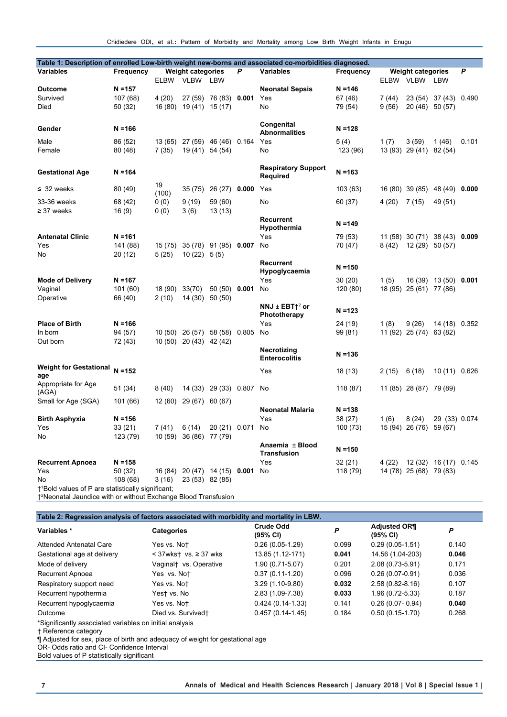Chidiedere ODI, et al.: Pattern of Morbidity and Mortality among Low Birth Weight Infants in Enugu

|                                                                            |                     |                               |                               |                       |                  | Table 1: Description of enrolled Low-birth weight new-borns and associated co-morbidities diagnosed. |           |        |                         |                               |       |
|----------------------------------------------------------------------------|---------------------|-------------------------------|-------------------------------|-----------------------|------------------|------------------------------------------------------------------------------------------------------|-----------|--------|-------------------------|-------------------------------|-------|
| <b>Variables</b>                                                           | Frequency           | <b>Weight categories</b><br>P |                               |                       | <b>Variables</b> | <b>Weight categories</b><br>Frequency                                                                |           |        | P                       |                               |       |
|                                                                            |                     | ELBW VLBW LBW                 |                               |                       |                  | ELBW VLBW<br>LBW                                                                                     |           |        |                         |                               |       |
| <b>Outcome</b>                                                             | $N = 157$           |                               |                               |                       |                  | <b>Neonatal Sepsis</b>                                                                               | $N = 146$ |        |                         |                               |       |
| Survived                                                                   | 107 (68)            | 4(20)                         |                               | 27 (59) 76 (83) 0.001 |                  | Yes                                                                                                  | 67 (46)   | 7 (44) |                         | 23 (54) 37 (43) 0.490         |       |
| Died                                                                       | 50 (32)             |                               | 16 (80) 19 (41) 15 (17)       |                       |                  | No                                                                                                   | 79 (54)   | 9(56)  | 20 (46) 50 (57)         |                               |       |
| Gender                                                                     | $N = 166$           |                               |                               |                       |                  | Congenital<br><b>Abnormalities</b>                                                                   | $N = 128$ |        |                         |                               |       |
| Male                                                                       | 86 (52)             |                               | 13 (65) 27 (59) 46 (46) 0.164 |                       |                  | Yes                                                                                                  | 5(4)      | 1(7)   | 3(59)                   | 1(46)                         | 0.101 |
| Female                                                                     | 80 (48)             | 7(35)                         |                               | 19 (41) 54 (54)       |                  | No                                                                                                   | 123 (96)  |        | 13 (93) 29 (41) 82 (54) |                               |       |
| <b>Gestational Age</b>                                                     | $N = 164$           |                               |                               |                       |                  | <b>Respiratory Support</b><br>Required                                                               | $N = 163$ |        |                         |                               |       |
| $\leq$ 32 weeks                                                            | 80 (49)             | 19<br>(100)                   | 35(75)                        | 26 (27) 0.000         |                  | Yes                                                                                                  | 103 (63)  |        | 16 (80) 39 (85)         | 48 (49) 0.000                 |       |
| 33-36 weeks<br>$\geq$ 37 weeks                                             | 68 (42)<br>16(9)    | 0(0)<br>0(0)                  | 9(19)<br>3(6)                 | 59 (60)<br>13(13)     |                  | No                                                                                                   | 60 (37)   | 4(20)  | 7 (15)                  | 49 (51)                       |       |
|                                                                            |                     |                               |                               |                       |                  | <b>Recurrent</b><br>Hypothermia                                                                      | $N = 149$ |        |                         |                               |       |
| <b>Antenatal Clinic</b>                                                    | $N = 161$           |                               |                               |                       |                  | Yes                                                                                                  | 79 (53)   |        |                         | 11 (58) 30 (71) 38 (43) 0.009 |       |
| Yes<br>No                                                                  | 141 (88)<br>20 (12) | 15 (75)<br>5(25)              | $10(22)$ 5(5)                 | 35 (78) 91 (95) 0.007 |                  | No                                                                                                   | 70 (47)   | 8(42)  | 12 (29) 50 (57)         |                               |       |
|                                                                            |                     |                               |                               |                       |                  | Recurrent<br>Hypoglycaemia                                                                           | $N = 150$ |        |                         |                               |       |
| <b>Mode of Delivery</b>                                                    | $N = 167$           |                               |                               |                       |                  | Yes                                                                                                  | 30(20)    | 1(5)   |                         | 16 (39) 13 (50) 0.001         |       |
| Vaginal                                                                    | 101 (60)            | 18 (90)                       | 33(70)                        | 50 (50) 0.001         |                  | No                                                                                                   | 120 (80)  |        | 18 (95) 25 (61) 77 (86) |                               |       |
| Operative                                                                  | 66 (40)             | 2(10)                         | 14 (30)                       | 50(50)                |                  |                                                                                                      |           |        |                         |                               |       |
|                                                                            |                     |                               |                               |                       |                  | NNJ $\pm$ EBT $\dagger$ <sup>2</sup> or<br>Phototherapy                                              | $N = 123$ |        |                         |                               |       |
| <b>Place of Birth</b>                                                      | $N = 166$           |                               |                               |                       |                  | Yes                                                                                                  | 24 (19)   | 1(8)   | 9(26)                   | 14 (18) 0.352                 |       |
| In born                                                                    | 94 (57)             |                               | 10 (50) 26 (57) 58 (58) 0.805 |                       |                  | <b>No</b>                                                                                            | 99 (81)   |        | 11 (92) 25 (74) 63 (82) |                               |       |
| Out born                                                                   | 72 (43)             |                               | 10 (50) 20 (43) 42 (42)       |                       |                  |                                                                                                      |           |        |                         |                               |       |
|                                                                            |                     |                               |                               |                       |                  | Necrotizing<br><b>Enterocolitis</b>                                                                  | $N = 136$ |        |                         |                               |       |
| <b>Weight for Gestational</b><br>age                                       | $N = 152$           |                               |                               |                       |                  | Yes                                                                                                  | 18 (13)   | 2 (15) | 6(18)                   | 10 (11) 0.626                 |       |
| Appropriate for Age<br>(AGA)                                               | 51 (34)             | 8(40)                         |                               | 14 (33) 29 (33) 0.807 |                  | No                                                                                                   | 118 (87)  |        | 11 (85) 28 (87)         | 79 (89)                       |       |
| Small for Age (SGA)                                                        | 101 (66)            | 12(60)                        |                               | 29 (67) 60 (67)       |                  | <b>Neonatal Malaria</b>                                                                              | $N = 138$ |        |                         |                               |       |
| <b>Birth Asphyxia</b>                                                      | $N = 156$           |                               |                               |                       |                  | Yes                                                                                                  | 38 (27)   | 1(6)   | 8(24)                   | 29 (33) 0.074                 |       |
| Yes                                                                        | 33 (21)             | 7(41)                         | 6(14)                         | 20 (21) 0.071         |                  | No                                                                                                   | 100 (73)  |        | 15 (94) 26 (76) 59 (67) |                               |       |
| No                                                                         | 123 (79)            | 10 (59)                       |                               | 36 (86) 77 (79)       |                  |                                                                                                      |           |        |                         |                               |       |
|                                                                            |                     |                               |                               |                       |                  | Anaemia ± Blood<br><b>Transfusion</b>                                                                | $N = 150$ |        |                         |                               |       |
| <b>Recurrent Apnoea</b>                                                    | $N = 158$           |                               |                               |                       |                  | Yes                                                                                                  | 32 (21)   | 4 (22) |                         | 12 (32) 16 (17) 0.145         |       |
| Yes                                                                        | 50 (32)             |                               | 16 (84) 20 (47) 14 (15) 0.001 |                       |                  | No                                                                                                   | 118 (79)  |        | 14 (78) 25 (68) 79 (83) |                               |       |
| No                                                                         | 108 (68)            | 3(16)                         |                               | 23 (53) 82 (85)       |                  |                                                                                                      |           |        |                         |                               |       |
| †1Bold values of P are statistically significant;                          |                     |                               |                               |                       |                  |                                                                                                      |           |        |                         |                               |       |
| <sup>+2</sup> Neonatal Jaundice with or without Exchange Blood Transfusion |                     |                               |                               |                       |                  |                                                                                                      |           |        |                         |                               |       |

|                                                         | Table 2: Regression analysis of factors associated with morbidity and mortality in LBW. |                                                                                      |                                 |       |  |  |  |  |  |  |
|---------------------------------------------------------|-----------------------------------------------------------------------------------------|--------------------------------------------------------------------------------------|---------------------------------|-------|--|--|--|--|--|--|
| <b>Categories</b>                                       | <b>Crude Odd</b><br>(95% CI)                                                            | P                                                                                    | <b>Adjusted OR¶</b><br>(95% CI) | P     |  |  |  |  |  |  |
| Yes vs. Not                                             | $0.26(0.05-1.29)$                                                                       | 0.099                                                                                | $0.29(0.05-1.51)$               | 0.140 |  |  |  |  |  |  |
| $<$ 37wkst vs. $\ge$ 37 wks                             | 13.85 (1.12-171)                                                                        | 0.041                                                                                | 14.56 (1.04-203)                | 0.046 |  |  |  |  |  |  |
| Vaginal   vs. Operative                                 | 1.90 (0.71-5.07)                                                                        | 0.201                                                                                | 2.08 (0.73-5.91)                | 0.171 |  |  |  |  |  |  |
| Yes vs. Not                                             | $0.37(0.11-1.20)$                                                                       | 0.096                                                                                | $0.26(0.07-0.91)$               | 0.036 |  |  |  |  |  |  |
| Yes vs. Not                                             | $3.29(1.10-9.80)$                                                                       | 0.032                                                                                | $2.58(0.82 - 8.16)$             | 0.107 |  |  |  |  |  |  |
| Yest vs. No                                             | 2.83 (1.09-7.38)                                                                        | 0.033                                                                                | 1.96 (0.72-5.33)                | 0.187 |  |  |  |  |  |  |
| Yes vs. Not                                             | $0.424(0.14-1.33)$                                                                      | 0.141                                                                                | $0.26(0.07 - 0.94)$             | 0.040 |  |  |  |  |  |  |
| Died vs. Survivedt                                      | $0.457(0.14-1.45)$                                                                      | 0.184                                                                                | $0.50(0.15-1.70)$               | 0.268 |  |  |  |  |  |  |
| *Significantly associated variables on initial analysis |                                                                                         |                                                                                      |                                 |       |  |  |  |  |  |  |
|                                                         | OB, Odde ratio and CL Confidence Interval                                               | <b>T</b> Adjusted for sex, place of birth and adequacy of weight for gestational age |                                 |       |  |  |  |  |  |  |

OR- Odds ratio and CI- Confidence Interval

Bold values of P statistically significant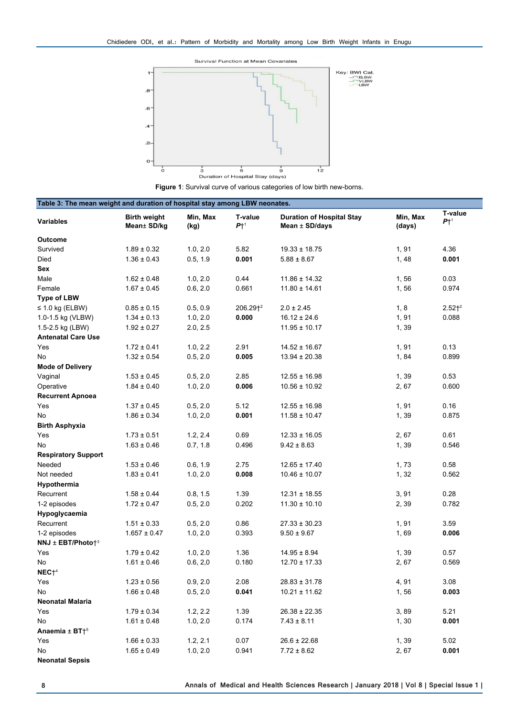

**Figure 1**: Survival curve of various categories of low birth new-borns.

| Table 3: The mean weight and duration of hospital stay among LBW neonates. |                                    |                  |                          |                                                        |                    |                          |  |  |
|----------------------------------------------------------------------------|------------------------------------|------------------|--------------------------|--------------------------------------------------------|--------------------|--------------------------|--|--|
| <b>Variables</b>                                                           | <b>Birth weight</b><br>Mean± SD/kg | Min, Max<br>(kg) | T-value<br>$P\uparrow^1$ | <b>Duration of Hospital Stay</b><br>Mean $\pm$ SD/days | Min, Max<br>(days) | T-value<br>$P\uparrow^1$ |  |  |
| <b>Outcome</b>                                                             |                                    |                  |                          |                                                        |                    |                          |  |  |
| Survived                                                                   | $1.89 \pm 0.32$                    | 1.0, 2.0         | 5.82                     | $19.33 \pm 18.75$                                      | 1,91               | 4.36                     |  |  |
| Died                                                                       | $1.36 \pm 0.43$                    | 0.5, 1.9         | 0.001                    | $5.88 \pm 8.67$                                        | 1,48               | 0.001                    |  |  |
| Sex                                                                        |                                    |                  |                          |                                                        |                    |                          |  |  |
| Male                                                                       | $1.62 \pm 0.48$                    | 1.0, 2.0         | 0.44                     | $11.86 \pm 14.32$                                      | 1,56               | 0.03                     |  |  |
| Female                                                                     | $1.67 \pm 0.45$                    | 0.6, 2.0         | 0.661                    | $11.80 \pm 14.61$                                      | 1,56               | 0.974                    |  |  |
| <b>Type of LBW</b>                                                         |                                    |                  |                          |                                                        |                    |                          |  |  |
| $\leq$ 1.0 kg (ELBW)                                                       | $0.85 \pm 0.15$                    | 0.5, 0.9         | 206.29 <sup>2</sup>      | $2.0 \pm 2.45$                                         | 1, 8               | 2.52 <sup>2</sup>        |  |  |
| 1.0-1.5 kg (VLBW)                                                          | $1.34 \pm 0.13$                    | 1.0, 2.0         | 0.000                    | $16.12 \pm 24.6$                                       | 1,91               | 0.088                    |  |  |
| 1.5-2.5 kg (LBW)                                                           | $1.92 \pm 0.27$                    | 2.0, 2.5         |                          | $11.95 \pm 10.17$                                      | 1,39               |                          |  |  |
| <b>Antenatal Care Use</b>                                                  |                                    |                  |                          |                                                        |                    |                          |  |  |
| Yes                                                                        | $1.72 \pm 0.41$                    | 1.0, 2.2         | 2.91                     | $14.52 \pm 16.67$                                      | 1,91               | 0.13                     |  |  |
| No                                                                         | $1.32 \pm 0.54$                    | 0.5, 2.0         | 0.005                    | $13.94 \pm 20.38$                                      | 1,84               | 0.899                    |  |  |
| <b>Mode of Delivery</b>                                                    |                                    |                  |                          |                                                        |                    |                          |  |  |
| Vaginal                                                                    | $1.53 \pm 0.45$                    | 0.5, 2.0         | 2.85                     | $12.55 \pm 16.98$                                      | 1,39               | 0.53                     |  |  |
| Operative                                                                  | $1.84 \pm 0.40$                    | 1.0, 2.0         | 0.006                    | $10.56 \pm 10.92$                                      | 2,67               | 0.600                    |  |  |
| <b>Recurrent Apnoea</b>                                                    |                                    |                  |                          |                                                        |                    |                          |  |  |
| Yes                                                                        | $1.37 \pm 0.45$                    | 0.5, 2.0         | 5.12                     | $12.55 \pm 16.98$                                      | 1,91               | 0.16                     |  |  |
| No                                                                         | $1.86 \pm 0.34$                    | 1.0, 2.0         | 0.001                    | $11.58 \pm 10.47$                                      | 1,39               | 0.875                    |  |  |
| <b>Birth Asphyxia</b>                                                      |                                    |                  |                          |                                                        |                    |                          |  |  |
| Yes                                                                        | $1.73 \pm 0.51$                    | 1.2, 2.4         | 0.69                     | $12.33 \pm 16.05$                                      | 2,67               | 0.61                     |  |  |
| No                                                                         | $1.63 \pm 0.46$                    | 0.7, 1.8         | 0.496                    | $9.42 \pm 8.63$                                        | 1,39               | 0.546                    |  |  |
| <b>Respiratory Support</b>                                                 |                                    |                  |                          |                                                        |                    |                          |  |  |
| Needed                                                                     | $1.53 \pm 0.46$                    | 0.6, 1.9         | 2.75                     | $12.65 \pm 17.40$                                      | 1,73               | 0.58                     |  |  |
| Not needed                                                                 | $1.83 \pm 0.41$                    | 1.0, 2.0         | 0.008                    | $10.46 \pm 10.07$                                      | 1, 32              | 0.562                    |  |  |
| Hypothermia                                                                |                                    |                  |                          |                                                        |                    |                          |  |  |
| Recurrent                                                                  | $1.58 \pm 0.44$                    | 0.8, 1.5         | 1.39                     | $12.31 \pm 18.55$                                      | 3,91               | 0.28                     |  |  |
| 1-2 episodes                                                               | $1.72 \pm 0.47$                    | 0.5, 2.0         | 0.202                    | $11.30 \pm 10.10$                                      | 2,39               | 0.782                    |  |  |
| Hypoglycaemia                                                              |                                    |                  |                          |                                                        |                    |                          |  |  |
| Recurrent                                                                  | $1.51 \pm 0.33$                    | 0.5, 2.0         | 0.86                     | $27.33 \pm 30.23$                                      | 1, 91              | 3.59                     |  |  |
| 1-2 episodes                                                               | $1.657 \pm 0.47$                   | 1.0, 2.0         | 0.393                    | $9.50 \pm 9.67$                                        | 1,69               | 0.006                    |  |  |
| NNJ ± EBT/Photo†3                                                          |                                    |                  |                          |                                                        |                    |                          |  |  |
| Yes                                                                        | $1.79 \pm 0.42$                    | 1.0, 2.0         | 1.36                     | $14.95 \pm 8.94$                                       | 1,39               | 0.57                     |  |  |
| No<br>NEC <sup>4</sup>                                                     | $1.61 \pm 0.46$                    | 0.6, 2,0         | 0.180                    | $12.70 \pm 17.33$                                      | 2,67               | 0.569                    |  |  |
| Yes                                                                        | $1.23 \pm 0.56$                    | 0.9, 2.0         | 2.08                     | $28.83 \pm 31.78$                                      | 4,91               | 3.08                     |  |  |
| No                                                                         | $1.66 \pm 0.48$                    | 0.5, 2.0         | 0.041                    | $10.21 \pm 11.62$                                      | 1,56               | 0.003                    |  |  |
| Neonatal Malaria                                                           |                                    |                  |                          |                                                        |                    |                          |  |  |
| Yes                                                                        | $1.79 \pm 0.34$                    | 1.2, 2.2         | 1.39                     | $26.38 \pm 22.35$                                      | 3,89               | 5.21                     |  |  |
| No                                                                         | $1.61 \pm 0.48$                    | 1.0, 2.0         | 0.174                    | $7.43 \pm 8.11$                                        | 1, 30              | 0.001                    |  |  |
| Anaemia $\pm$ BT $\dagger$ <sup>5</sup>                                    |                                    |                  |                          |                                                        |                    |                          |  |  |
| Yes                                                                        | $1.66 \pm 0.33$                    | 1.2, 2.1         | 0.07                     | $26.6 \pm 22.68$                                       | 1,39               | 5.02                     |  |  |
| No                                                                         | $1.65 \pm 0.49$                    | 1.0, 2.0         | 0.941                    | $7.72 \pm 8.62$                                        | 2, 67              | 0.001                    |  |  |
| <b>Neonatal Sepsis</b>                                                     |                                    |                  |                          |                                                        |                    |                          |  |  |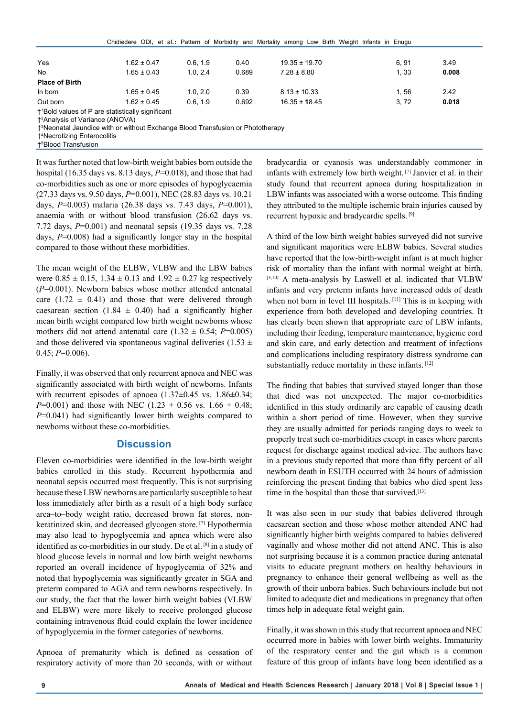|                       |                                                                                                                                |          |       | Chidiedere ODI, et al.: Pattern of Morbidity and Mortality among Low Birth Weight Infants in Enugu |      |       |
|-----------------------|--------------------------------------------------------------------------------------------------------------------------------|----------|-------|----------------------------------------------------------------------------------------------------|------|-------|
|                       |                                                                                                                                |          |       |                                                                                                    |      |       |
| Yes                   | $1.62 \pm 0.47$                                                                                                                | 0.6.19   | 0.40  | $19.35 \pm 19.70$                                                                                  | 6.91 | 3.49  |
| No                    | $1.65 \pm 0.43$                                                                                                                | 1.0, 2.4 | 0.689 | $7.28 \pm 8.80$                                                                                    | 1.33 | 0.008 |
| <b>Place of Birth</b> |                                                                                                                                |          |       |                                                                                                    |      |       |
| In born               | $1.65 \pm 0.45$                                                                                                                | 1.0.2.0  | 0.39  | $8.13 \pm 10.33$                                                                                   | 1.56 | 2.42  |
| Out born              | $1.62 \pm 0.45$                                                                                                                | 0.6.1.9  | 0.692 | $16.35 \pm 18.45$                                                                                  | 3.72 | 0.018 |
|                       | $\mathbf{r}$ , and $\mathbf{r}$ , and $\mathbf{r}$ , and $\mathbf{r}$ , and $\mathbf{r}$ , and $\mathbf{r}$ , and $\mathbf{r}$ |          |       |                                                                                                    |      |       |

†1 Bold values of P are statistically significant †2 Analysis of Variance (ANOVA)

†3 Neonatal Jaundice with or without Exchange Blood Transfusion or Phototherapy

†4 Necrotizing Enterocolitis

†5 Blood Transfusion

It was further noted that low-birth weight babies born outside the hospital (16.35 days vs. 8.13 days, *P*=0.018), and those that had co-morbidities such as one or more episodes of hypoglycaemia (27.33 days vs. 9.50 days, *P*=0.001), NEC (28.83 days vs. 10.21 days, *P*=0.003) malaria (26.38 days vs. 7.43 days, *P*=0.001), anaemia with or without blood transfusion (26.62 days vs. 7.72 days, *P*=0.001) and neonatal sepsis (19.35 days vs. 7.28 days, *P*=0.008) had a significantly longer stay in the hospital compared to those without these morbidities.

The mean weight of the ELBW, VLBW and the LBW babies were  $0.85 \pm 0.15$ ,  $1.34 \pm 0.13$  and  $1.92 \pm 0.27$  kg respectively (*P*=0.001). Newborn babies whose mother attended antenatal care  $(1.72 \pm 0.41)$  and those that were delivered through caesarean section (1.84  $\pm$  0.40) had a significantly higher mean birth weight compared low birth weight newborns whose mothers did not attend antenatal care  $(1.32 \pm 0.54; P=0.005)$ and those delivered via spontaneous vaginal deliveries (1.53  $\pm$  $0.45; P=0.006$ .

Finally, it was observed that only recurrent apnoea and NEC was significantly associated with birth weight of newborns. Infants with recurrent episodes of apnoea  $(1.37\pm0.45 \text{ vs. } 1.86\pm0.34;$ *P*=0.001) and those with NEC (1.23  $\pm$  0.56 vs. 1.66  $\pm$  0.48; *P*=0.041) had significantly lower birth weights compared to newborns without these co-morbidities.

#### **Discussion**

Eleven co-morbidities were identified in the low-birth weight babies enrolled in this study. Recurrent hypothermia and neonatal sepsis occurred most frequently. This is not surprising because these LBW newborns are particularly susceptible to heat loss immediately after birth as a result of a high body surface area–to–body weight ratio, decreased brown fat stores, nonkeratinized skin, and decreased glycogen store. [7] Hypothermia may also lead to hypoglycemia and apnea which were also identified as co-morbidities in our study. De et al. [8] in a study of blood glucose levels in normal and low birth weight newborns reported an overall incidence of hypoglycemia of 32% and noted that hypoglycemia was significantly greater in SGA and preterm compared to AGA and term newborns respectively. In our study, the fact that the lower birth weight babies (VLBW and ELBW) were more likely to receive prolonged glucose containing intravenous fluid could explain the lower incidence of hypoglycemia in the former categories of newborns.

Apnoea of prematurity which is defined as cessation of respiratory activity of more than 20 seconds, with or without

bradycardia or cyanosis was understandably commoner in infants with extremely low birth weight. [7] Janvier et al. in their study found that recurrent apnoea during hospitalization in LBW infants was associated with a worse outcome. This finding they attributed to the multiple ischemic brain injuries caused by recurrent hypoxic and bradycardic spells. [9]

A third of the low birth weight babies surveyed did not survive and significant majorities were ELBW babies. Several studies have reported that the low-birth-weight infant is at much higher risk of mortality than the infant with normal weight at birth. [3,10] A meta-analysis by Laswell et al. indicated that VLBW infants and very preterm infants have increased odds of death when not born in level III hospitals. [11] This is in keeping with experience from both developed and developing countries. It has clearly been shown that appropriate care of LBW infants, including their feeding, temperature maintenance, hygienic cord and skin care, and early detection and treatment of infections and complications including respiratory distress syndrome can substantially reduce mortality in these infants. [12]

The finding that babies that survived stayed longer than those that died was not unexpected. The major co-morbidities identified in this study ordinarily are capable of causing death within a short period of time. However, when they survive they are usually admitted for periods ranging days to week to properly treat such co-morbidities except in cases where parents request for discharge against medical advice. The authors have in a previous study reported that more than fifty percent of all newborn death in ESUTH occurred with 24 hours of admission reinforcing the present finding that babies who died spent less time in the hospital than those that survived.<sup>[13]</sup>

It was also seen in our study that babies delivered through caesarean section and those whose mother attended ANC had significantly higher birth weights compared to babies delivered vaginally and whose mother did not attend ANC. This is also not surprising because it is a common practice during antenatal visits to educate pregnant mothers on healthy behaviours in pregnancy to enhance their general wellbeing as well as the growth of their unborn babies. Such behaviours include but not limited to adequate diet and medications in pregnancy that often times help in adequate fetal weight gain.

Finally, it was shown in this study that recurrent apnoea and NEC occurred more in babies with lower birth weights. Immaturity of the respiratory center and the gut which is a common feature of this group of infants have long been identified as a